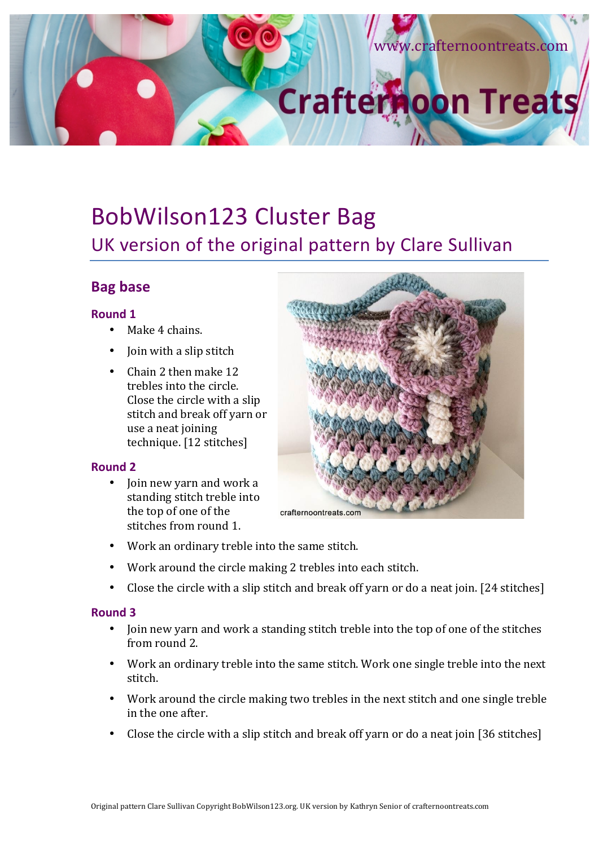# w.crafternoontreats.com **Crafternoon Treats**

# BobWilson123 Cluster Bag UK version of the original pattern by Clare Sullivan

# **Bag base**

#### **Round 1**

- Make 4 chains.
- Join with a slip stitch
- Chain 2 then make 12 trebles into the circle. Close the circle with a slip stitch and break off varn or use a neat joining technique. [12 stitches]

#### **Round 2**

• Join new yarn and work a standing stitch treble into the top of one of the stitches from round 1.



- Work an ordinary treble into the same stitch.
- Work around the circle making 2 trebles into each stitch.
- Close the circle with a slip stitch and break off varn or do a neat join. [24 stitches]

### **Round 3**

- Join new yarn and work a standing stitch treble into the top of one of the stitches from round 2.
- Work an ordinary treble into the same stitch. Work one single treble into the next stitch.
- Work around the circle making two trebles in the next stitch and one single treble in the one after.
- Close the circle with a slip stitch and break off yarn or do a neat join  $[36 \text{ stitches}]$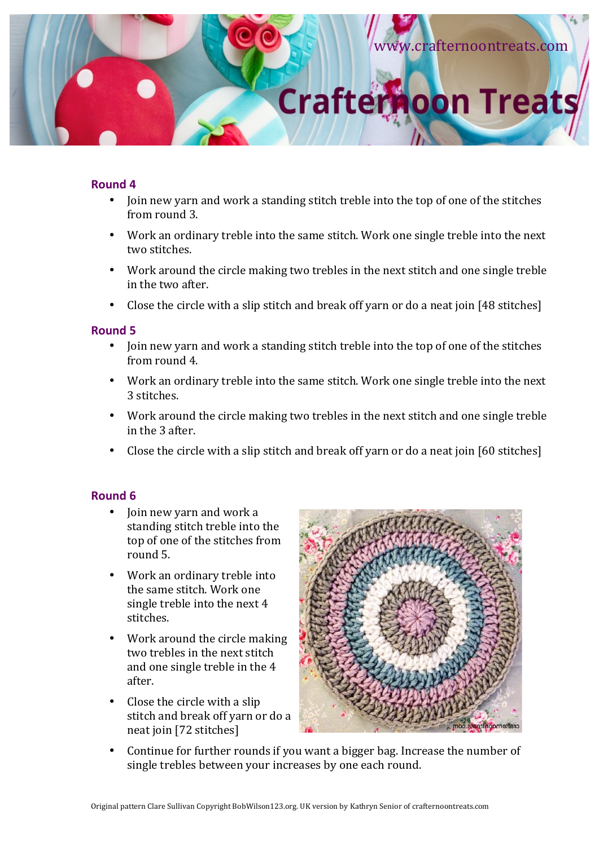

#### **Round 4**

- Join new yarn and work a standing stitch treble into the top of one of the stitches from round 3.
- Work an ordinary treble into the same stitch. Work one single treble into the next two stitches.
- Work around the circle making two trebles in the next stitch and one single treble in the two after.
- Close the circle with a slip stitch and break off yarn or do a neat join  $[48 \text{ stitches}]$

#### **Round 5**

- Join new yarn and work a standing stitch treble into the top of one of the stitches from round 4.
- Work an ordinary treble into the same stitch. Work one single treble into the next 3 stitches.
- Work around the circle making two trebles in the next stitch and one single treble in the 3 after.
- Close the circle with a slip stitch and break off yarn or do a neat join  $[60 \text{ stitches}]$

#### **Round 6**

- Join new varn and work a standing stitch treble into the top of one of the stitches from round 5.
- Work an ordinary treble into the same stitch. Work one single treble into the next 4 stitches.
- Work around the circle making two trebles in the next stitch and one single treble in the 4 after.
- Close the circle with a slip stitch and break off yarn or do a neat join [72 stitches]



Continue for further rounds if you want a bigger bag. Increase the number of single trebles between your increases by one each round.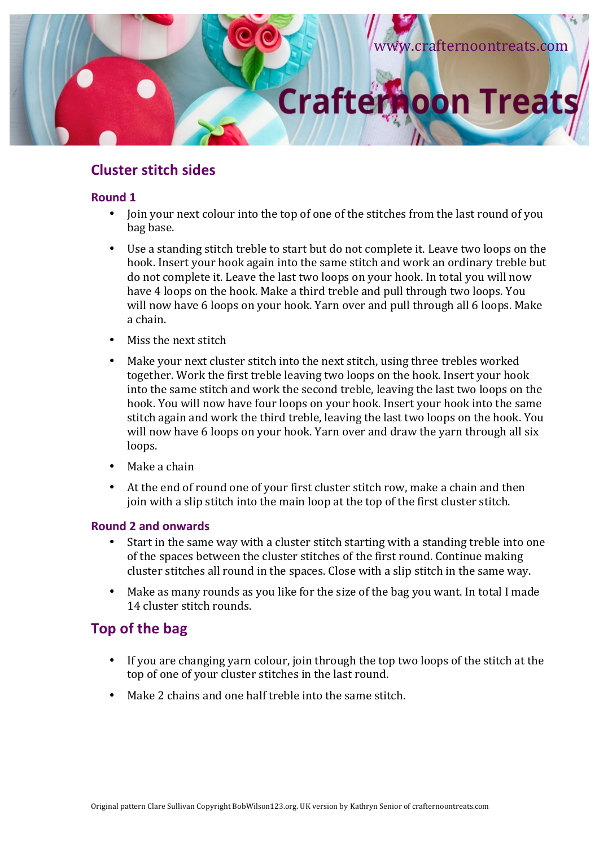

# **Cluster stitch sides**

#### **Round 1**

- Join your next colour into the top of one of the stitches from the last round of you bag base.
- Use a standing stitch treble to start but do not complete it. Leave two loops on the hook. Insert your hook again into the same stitch and work an ordinary treble but do not complete it. Leave the last two loops on your hook. In total you will now have 4 loops on the hook. Make a third treble and pull through two loops. You will now have 6 loops on your hook. Yarn over and pull through all 6 loops. Make a chain.
- Miss the next stitch
- Make your next cluster stitch into the next stitch, using three trebles worked together. Work the first treble leaving two loops on the hook. Insert your hook into the same stitch and work the second treble, leaving the last two loops on the hook. You will now have four loops on your hook. Insert your hook into the same stitch again and work the third treble, leaving the last two loops on the hook. You will now have 6 loops on your hook. Yarn over and draw the yarn through all six loops.
- Make a chain
- At the end of round one of your first cluster stitch row, make a chain and then join with a slip stitch into the main loop at the top of the first cluster stitch.

#### **Round 2 and onwards**

- Start in the same way with a cluster stitch starting with a standing treble into one of the spaces between the cluster stitches of the first round. Continue making cluster stitches all round in the spaces. Close with a slip stitch in the same way.
- Make as many rounds as you like for the size of the bag you want. In total I made 14 cluster stitch rounds.

# **Top of the bag**

- If you are changing yarn colour, join through the top two loops of the stitch at the top of one of your cluster stitches in the last round.
- Make 2 chains and one half treble into the same stitch.